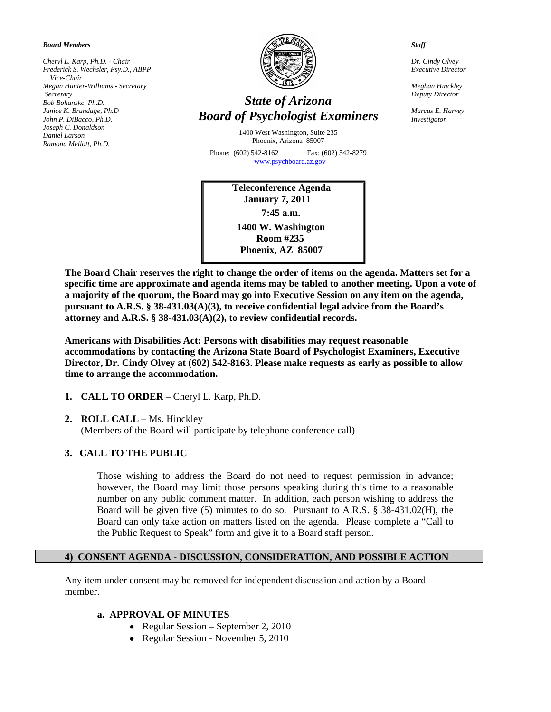*Board Members* 

*Cheryl L. Karp, Ph.D. - Chair Frederick S. Wechsler, Psy.D., ABPP Vice-Chair Megan Hunter-Williams - Secretary Secretary Bob Bohanske, Ph.D. Janice K. Brundage, Ph.D John P. DiBacco, Ph.D. Joseph C. Donaldson Daniel Larson Ramona Mellott, Ph.D.* 



# *State of Arizona Board of Psychologist Examiners*

1400 West Washington, Suite 235 Phoenix, Arizona 85007

Phone: (602) 542-8162 Fax: (602) 542-8279 [www.psychboard.az.gov](http://www.psychboard.az.gov/)

> **Teleconference Agenda January 7, 2011 7:45 a.m. 1400 W. Washington Room #235 Phoenix, AZ 85007**

*Staff* 

*Dr. Cindy Olvey Executive Director* 

*Meghan Hinckley Deputy Director* 

*Marcus E. Harvey Investigator* 

**The Board Chair reserves the right to change the order of items on the agenda. Matters set for a specific time are approximate and agenda items may be tabled to another meeting. Upon a vote of a majority of the quorum, the Board may go into Executive Session on any item on the agenda, pursuant to A.R.S. § 38-431.03(A)(3), to receive confidential legal advice from the Board's attorney and A.R.S. § 38-431.03(A)(2), to review confidential records.** 

**Americans with Disabilities Act: Persons with disabilities may request reasonable accommodations by contacting the Arizona State Board of Psychologist Examiners, Executive Director, Dr. Cindy Olvey at (602) 542-8163. Please make requests as early as possible to allow time to arrange the accommodation.** 

- **1. CALL TO ORDER** Cheryl L. Karp, Ph.D.
- **2. ROLL CALL** Ms. Hinckley

(Members of the Board will participate by telephone conference call)

# **3. CALL TO THE PUBLIC**

Those wishing to address the Board do not need to request permission in advance; however, the Board may limit those persons speaking during this time to a reasonable number on any public comment matter. In addition, each person wishing to address the Board will be given five (5) minutes to do so. Pursuant to A.R.S. § 38-431.02(H), the Board can only take action on matters listed on the agenda. Please complete a "Call to the Public Request to Speak" form and give it to a Board staff person.

### **4) CONSENT AGENDA - DISCUSSION, CONSIDERATION, AND POSSIBLE ACTION**

Any item under consent may be removed for independent discussion and action by a Board member.

# **a. APPROVAL OF MINUTES**

- Regular Session September 2, 2010
- Regular Session November 5, 2010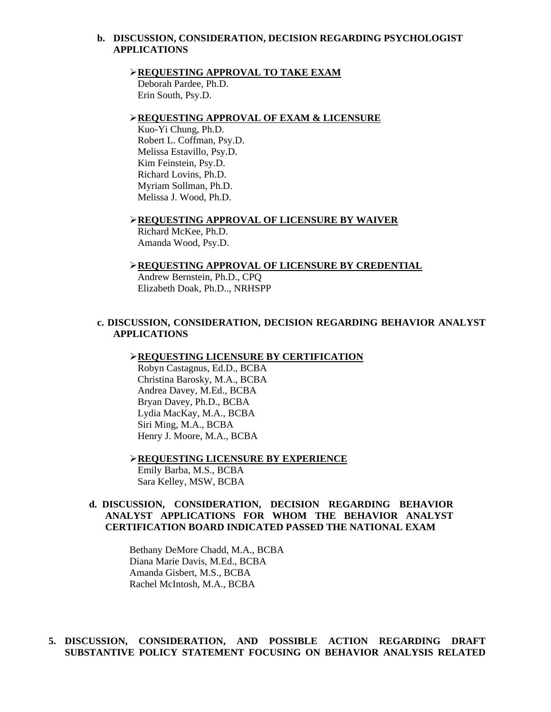### **b. DISCUSSION, CONSIDERATION, DECISION REGARDING PSYCHOLOGIST APPLICATIONS**

#### **REQUESTING APPROVAL TO TAKE EXAM**

 Deborah Pardee, Ph.D. Erin South, Psy.D.

### **REQUESTING APPROVAL OF EXAM & LICENSURE**

 Kuo-Yi Chung, Ph.D. Robert L. Coffman, Psy.D. Melissa Estavillo, Psy.D. Kim Feinstein, Psy.D. Richard Lovins, Ph.D. Myriam Sollman, Ph.D. Melissa J. Wood, Ph.D.

**REQUESTING APPROVAL OF LICENSURE BY WAIVER**

Richard McKee, Ph.D. Amanda Wood, Psy.D.

#### **REQUESTING APPROVAL OF LICENSURE BY CREDENTIAL**

Andrew Bernstein, Ph.D., CPQ Elizabeth Doak, Ph.D.., NRHSPP

### **c. DISCUSSION, CONSIDERATION, DECISION REGARDING BEHAVIOR ANALYST APPLICATIONS**

#### **REQUESTING LICENSURE BY CERTIFICATION**

 Robyn Castagnus, Ed.D., BCBA Christina Barosky, M.A., BCBA Andrea Davey, M.Ed., BCBA Bryan Davey, Ph.D., BCBA Lydia MacKay, M.A., BCBA Siri Ming, M.A., BCBA Henry J. Moore, M.A., BCBA

**REQUESTING LICENSURE BY EXPERIENCE** Emily Barba, M.S., BCBA Sara Kelley, MSW, BCBA

# **d. DISCUSSION, CONSIDERATION, DECISION REGARDING BEHAVIOR ANALYST APPLICATIONS FOR WHOM THE BEHAVIOR ANALYST CERTIFICATION BOARD INDICATED PASSED THE NATIONAL EXAM**

Bethany DeMore Chadd, M.A., BCBA Diana Marie Davis, M.Ed., BCBA Amanda Gisbert, M.S., BCBA Rachel McIntosh, M.A., BCBA

# **5. DISCUSSION, CONSIDERATION, AND POSSIBLE ACTION REGARDING DRAFT SUBSTANTIVE POLICY STATEMENT FOCUSING ON BEHAVIOR ANALYSIS RELATED**